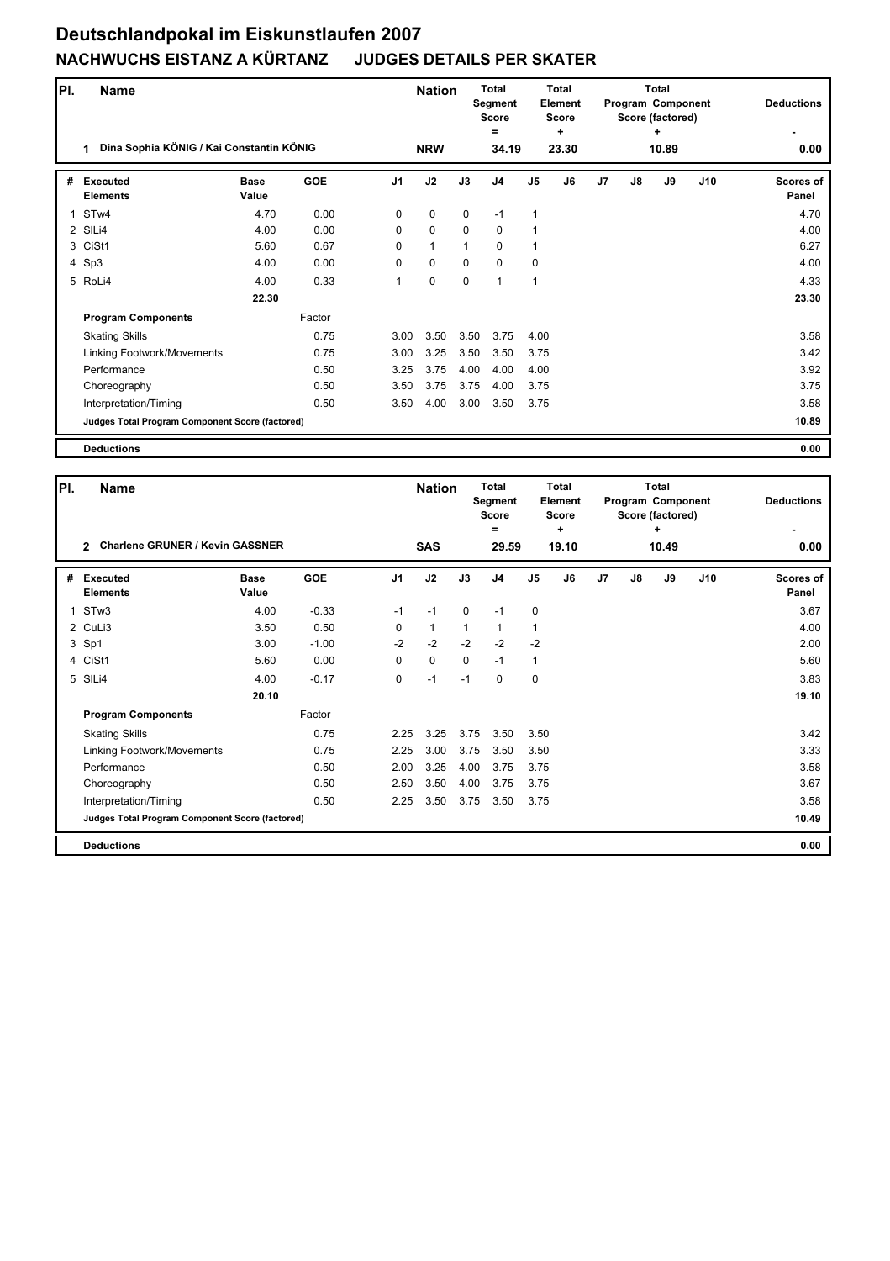## **Deutschlandpokal im Eiskunstlaufen 2007 NACHWUCHS EISTANZ A KÜRTANZ JUDGES DETAILS PER SKATER**

| PI. | <b>Name</b><br>Dina Sophia KÖNIG / Kai Constantin KÖNIG<br>1 |                      |            |                | <b>Total</b><br><b>Nation</b><br>Segment<br>Score<br>=<br><b>NRW</b><br>34.19 |             | <b>Total</b><br>Element<br><b>Score</b> |              |            |                | <b>Total</b><br>Program Component<br>Score (factored) | <b>Deductions</b> |     |                           |
|-----|--------------------------------------------------------------|----------------------|------------|----------------|-------------------------------------------------------------------------------|-------------|-----------------------------------------|--------------|------------|----------------|-------------------------------------------------------|-------------------|-----|---------------------------|
|     |                                                              |                      |            |                |                                                                               |             |                                         |              | ÷<br>23.30 |                |                                                       | ٠<br>10.89        |     | 0.00                      |
| #   | Executed<br><b>Elements</b>                                  | <b>Base</b><br>Value | <b>GOE</b> | J <sub>1</sub> | J2                                                                            | J3          | J <sub>4</sub>                          | J5           | J6         | J <sub>7</sub> | $\mathsf{J}8$                                         | J9                | J10 | <b>Scores of</b><br>Panel |
| 1   | ST <sub>w</sub> 4                                            | 4.70                 | 0.00       | $\Omega$       | $\mathbf 0$                                                                   | $\mathbf 0$ | $-1$                                    | 1            |            |                |                                                       |                   |     | 4.70                      |
|     | 2 SILi4                                                      | 4.00                 | 0.00       | 0              | $\mathbf 0$                                                                   | $\Omega$    | $\mathbf 0$                             | 1            |            |                |                                                       |                   |     | 4.00                      |
|     | 3 CiSt1                                                      | 5.60                 | 0.67       | 0              | $\mathbf{1}$                                                                  |             | $\mathbf 0$                             | $\mathbf{1}$ |            |                |                                                       |                   |     | 6.27                      |
|     | 4 Sp3                                                        | 4.00                 | 0.00       | $\Omega$       | $\mathbf 0$                                                                   | $\mathbf 0$ | 0                                       | $\mathbf 0$  |            |                |                                                       |                   |     | 4.00                      |
|     | 5 RoLi4                                                      | 4.00                 | 0.33       | 1              | $\mathbf 0$                                                                   | $\mathbf 0$ | $\mathbf{1}$                            | $\mathbf{1}$ |            |                |                                                       |                   |     | 4.33                      |
|     |                                                              | 22.30                |            |                |                                                                               |             |                                         |              |            |                |                                                       |                   |     | 23.30                     |
|     | <b>Program Components</b>                                    |                      | Factor     |                |                                                                               |             |                                         |              |            |                |                                                       |                   |     |                           |
|     | <b>Skating Skills</b>                                        |                      | 0.75       | 3.00           | 3.50                                                                          | 3.50        | 3.75                                    | 4.00         |            |                |                                                       |                   |     | 3.58                      |
|     | Linking Footwork/Movements                                   |                      | 0.75       | 3.00           | 3.25                                                                          | 3.50        | 3.50                                    | 3.75         |            |                |                                                       |                   |     | 3.42                      |
|     | Performance                                                  |                      | 0.50       | 3.25           | 3.75                                                                          | 4.00        | 4.00                                    | 4.00         |            |                |                                                       |                   |     | 3.92                      |
|     | Choreography                                                 |                      | 0.50       | 3.50           | 3.75                                                                          | 3.75        | 4.00                                    | 3.75         |            |                |                                                       |                   |     | 3.75                      |
|     | Interpretation/Timing                                        |                      | 0.50       | 3.50           | 4.00                                                                          | 3.00        | 3.50                                    | 3.75         |            |                |                                                       |                   |     | 3.58                      |
|     | Judges Total Program Component Score (factored)              |                      |            |                |                                                                               |             |                                         |              |            |                |                                                       |                   |     | 10.89                     |
|     | <b>Deductions</b>                                            |                      |            |                |                                                                               |             |                                         |              |            |                |                                                       |                   |     | 0.00                      |

| PI. | <b>Name</b>                                             |                      |            |                | <b>Nation</b> |             | Total<br>Segment<br><b>Score</b><br>= | <b>Total</b><br>Element<br><b>Score</b><br>٠ |       |                |    | <b>Total</b><br>Program Component<br>Score (factored)<br>٠ |     | <b>Deductions</b>         |
|-----|---------------------------------------------------------|----------------------|------------|----------------|---------------|-------------|---------------------------------------|----------------------------------------------|-------|----------------|----|------------------------------------------------------------|-----|---------------------------|
|     | <b>Charlene GRUNER / Kevin GASSNER</b><br>$\mathcal{P}$ |                      |            |                | <b>SAS</b>    |             | 29.59                                 |                                              | 19.10 |                |    | 10.49                                                      |     | 0.00                      |
| #   | <b>Executed</b><br><b>Elements</b>                      | <b>Base</b><br>Value | <b>GOE</b> | J <sub>1</sub> | J2            | J3          | J <sub>4</sub>                        | J <sub>5</sub>                               | J6    | J <sub>7</sub> | J8 | J9                                                         | J10 | <b>Scores of</b><br>Panel |
| 1   | STw3                                                    | 4.00                 | $-0.33$    | $-1$           | $-1$          | $\mathbf 0$ | $-1$                                  | $\mathbf 0$                                  |       |                |    |                                                            |     | 3.67                      |
|     | 2 CuLi3                                                 | 3.50                 | 0.50       | 0              | $\mathbf{1}$  | 1           | 1                                     | 1                                            |       |                |    |                                                            |     | 4.00                      |
|     | 3 Sp1                                                   | 3.00                 | $-1.00$    | $-2$           | $-2$          | $-2$        | $-2$                                  | $-2$                                         |       |                |    |                                                            |     | 2.00                      |
|     | 4 CiSt1                                                 | 5.60                 | 0.00       | 0              | $\mathbf 0$   | $\mathbf 0$ | $-1$                                  | $\mathbf{1}$                                 |       |                |    |                                                            |     | 5.60                      |
|     | 5 SILi4                                                 | 4.00                 | $-0.17$    | 0              | $-1$          | $-1$        | $\mathbf{0}$                          | $\mathbf 0$                                  |       |                |    |                                                            |     | 3.83                      |
|     |                                                         | 20.10                |            |                |               |             |                                       |                                              |       |                |    |                                                            |     | 19.10                     |
|     | <b>Program Components</b>                               |                      | Factor     |                |               |             |                                       |                                              |       |                |    |                                                            |     |                           |
|     | <b>Skating Skills</b>                                   |                      | 0.75       | 2.25           | 3.25          | 3.75        | 3.50                                  | 3.50                                         |       |                |    |                                                            |     | 3.42                      |
|     | Linking Footwork/Movements                              |                      | 0.75       | 2.25           | 3.00          | 3.75        | 3.50                                  | 3.50                                         |       |                |    |                                                            |     | 3.33                      |
|     | Performance                                             |                      | 0.50       | 2.00           | 3.25          | 4.00        | 3.75                                  | 3.75                                         |       |                |    |                                                            |     | 3.58                      |
|     | Choreography                                            |                      | 0.50       | 2.50           | 3.50          | 4.00        | 3.75                                  | 3.75                                         |       |                |    |                                                            |     | 3.67                      |
|     | Interpretation/Timing                                   |                      | 0.50       | 2.25           | 3.50          | 3.75        | 3.50                                  | 3.75                                         |       |                |    |                                                            |     | 3.58                      |
|     | Judges Total Program Component Score (factored)         |                      |            |                |               |             |                                       |                                              |       |                |    |                                                            |     | 10.49                     |
|     | <b>Deductions</b>                                       |                      |            |                |               |             |                                       |                                              |       |                |    |                                                            |     | 0.00                      |